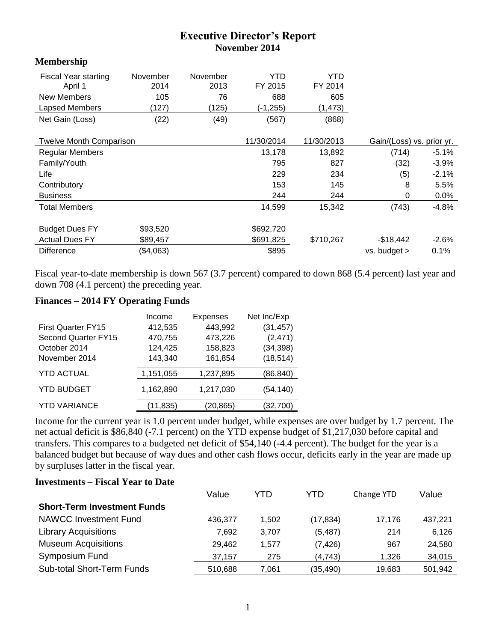## **Executive Director's Report November 2014**

## **Membership**

| <b>Fiscal Year starting</b><br>April 1 | November<br>2014 | November<br>2013 | YTD<br>FY 2015 | YTD<br>FY 2014 |                           |         |
|----------------------------------------|------------------|------------------|----------------|----------------|---------------------------|---------|
| <b>New Members</b>                     | 105              | 76               | 688            | 605            |                           |         |
| Lapsed Members                         | (127)            | (125)            | (-1,255)       | (1, 473)       |                           |         |
| Net Gain (Loss)                        | (22)             | (49)             | (567)          | (868)          |                           |         |
|                                        |                  |                  | 11/30/2014     | 11/30/2013     |                           |         |
| <b>Twelve Month Comparison</b>         |                  |                  |                |                | Gain/(Loss) vs. prior yr. |         |
| <b>Regular Members</b>                 |                  |                  | 13,178         | 13,892         | (714)                     | $-5.1%$ |
| Family/Youth                           |                  |                  | 795            | 827            | (32)                      | $-3.9%$ |
| Life                                   |                  |                  | 229            | 234            | (5)                       | $-2.1%$ |
| Contributory                           |                  |                  | 153            | 145            | 8                         | 5.5%    |
| <b>Business</b>                        |                  |                  | 244            | 244            | 0                         | $0.0\%$ |
| <b>Total Members</b>                   |                  |                  | 14,599         | 15,342         | (743)                     | -4.8%   |
| <b>Budget Dues FY</b>                  | \$93,520         |                  | \$692,720      |                |                           |         |
|                                        |                  |                  |                |                |                           |         |
| <b>Actual Dues FY</b>                  | \$89,457         |                  | \$691,825      | \$710,267      | $-$18,442$                | $-2.6%$ |
| <b>Difference</b>                      | (\$4,063)        |                  | \$895          |                | $vs.$ budget $>$          | 0.1%    |

Fiscal year-to-date membership is down 567 (3.7 percent) compared to down 868 (5.4 percent) last year and down 708 (4.1 percent) the preceding year.

## **Finances – 2014 FY Operating Funds**

|                           | <b>Expenses</b><br>Income |           | Net Inc/Exp |  |
|---------------------------|---------------------------|-----------|-------------|--|
| <b>First Quarter FY15</b> | 412,535                   | 443,992   | (31, 457)   |  |
| Second Quarter FY15       | 470,755                   | 473,226   | (2, 471)    |  |
| October 2014              | 124,425                   | 158,823   | (34, 398)   |  |
| November 2014             | 143,340                   | 161,854   | (18, 514)   |  |
| <b>YTD ACTUAL</b>         | 1,151,055                 | 1,237,895 | (86, 840)   |  |
| <b>YTD BUDGET</b>         | 1,162,890                 | 1,217,030 | (54, 140)   |  |
| <b>YTD VARIANCE</b>       | (11,835)                  | (20,865)  | (32,700)    |  |

Income for the current year is 1.0 percent under budget, while expenses are over budget by 1.7 percent. The net actual deficit is \$86,840 (-7.1 percent) on the YTD expense budget of \$1,217,030 before capital and transfers. This compares to a budgeted net deficit of \$54,140 (-4.4 percent). The budget for the year is a balanced budget but because of way dues and other cash flows occur, deficits early in the year are made up by surpluses latter in the fiscal year.

## **Investments – Fiscal Year to Date**

|                                    | Value   | YTD   | YTD       | Change YTD | Value   |
|------------------------------------|---------|-------|-----------|------------|---------|
| <b>Short-Term Investment Funds</b> |         |       |           |            |         |
| <b>NAWCC Investment Fund</b>       | 436.377 | 1.502 | (17, 834) | 17.176     | 437,221 |
| <b>Library Acquisitions</b>        | 7.692   | 3.707 | (5, 487)  | 214        | 6,126   |
| <b>Museum Acquisitions</b>         | 29.462  | 1.577 | (7, 426)  | 967        | 24,580  |
| Symposium Fund                     | 37.157  | 275   | (4, 743)  | 1.326      | 34,015  |
| <b>Sub-total Short-Term Funds</b>  | 510,688 | 7,061 | (35,490)  | 19,683     | 501,942 |